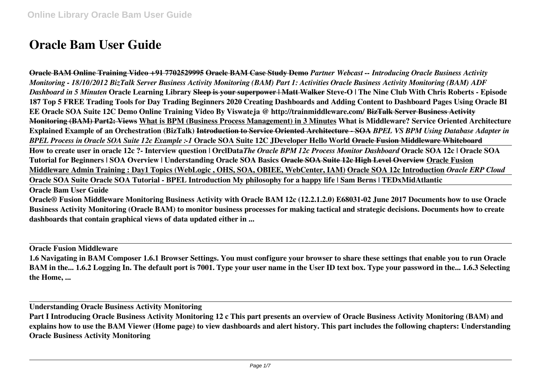## **Oracle Bam User Guide**

**Oracle BAM Online Training Video +91 7702529995 Oracle BAM Case Study Demo** *Partner Webcast -- Introducing Oracle Business Activity Monitoring - 18/10/2012 BizTalk Server Business Activity Monitoring (BAM) Part 1: Activities Oracle Business Activity Monitoring (BAM) ADF Dashboard in 5 Minuten* **Oracle Learning Library Sleep is your superpower | Matt Walker Steve-O | The Nine Club With Chris Roberts - Episode 187 Top 5 FREE Trading Tools for Day Trading Beginners 2020 Creating Dashboards and Adding Content to Dashboard Pages Using Oracle BI EE Oracle SOA Suite 12C Demo Online Training Video By Viswateja @ http://trainmiddleware.com/ BizTalk Server Business Activity Monitoring (BAM) Part2: Views What is BPM (Business Process Management) in 3 Minutes What is Middleware? Service Oriented Architecture Explained Example of an Orchestration (BizTalk) Introduction to Service Oriented Architecture - SOA** *BPEL VS BPM Using Database Adapter in BPEL Process in Oracle SOA Suite 12c Example :-1* **Oracle SOA Suite 12C JDeveloper Hello World Oracle Fusion Middleware Whiteboard How to create user in oracle 12c ?- Interview question | OrclData***The Oracle BPM 12c Process Monitor Dashboard* **Oracle SOA 12c | Oracle SOA Tutorial for Beginners | SOA Overview | Understanding Oracle SOA Basics Oracle SOA Suite 12c High Level Overview Oracle Fusion Middleware Admin Training : Day1 Topics (WebLogic , OHS, SOA, OBIEE, WebCenter, IAM) Oracle SOA 12c Introduction** *Oracle ERP Cloud* **Oracle SOA Suite Oracle SOA Tutorial - BPEL Introduction My philosophy for a happy life | Sam Berns | TEDxMidAtlantic** 

**Oracle Bam User Guide**

**Oracle® Fusion Middleware Monitoring Business Activity with Oracle BAM 12c (12.2.1.2.0) E68031-02 June 2017 Documents how to use Oracle Business Activity Monitoring (Oracle BAM) to monitor business processes for making tactical and strategic decisions. Documents how to create dashboards that contain graphical views of data updated either in ...**

**Oracle Fusion Middleware**

**1.6 Navigating in BAM Composer 1.6.1 Browser Settings. You must configure your browser to share these settings that enable you to run Oracle BAM in the... 1.6.2 Logging In. The default port is 7001. Type your user name in the User ID text box. Type your password in the... 1.6.3 Selecting the Home, ...**

**Understanding Oracle Business Activity Monitoring**

**Part I Introducing Oracle Business Activity Monitoring 12 c This part presents an overview of Oracle Business Activity Monitoring (BAM) and explains how to use the BAM Viewer (Home page) to view dashboards and alert history. This part includes the following chapters: Understanding Oracle Business Activity Monitoring**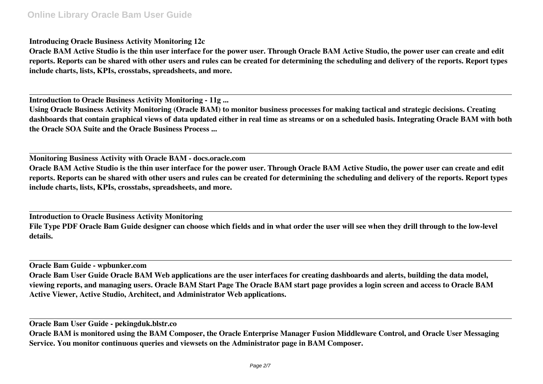**Introducing Oracle Business Activity Monitoring 12c**

**Oracle BAM Active Studio is the thin user interface for the power user. Through Oracle BAM Active Studio, the power user can create and edit reports. Reports can be shared with other users and rules can be created for determining the scheduling and delivery of the reports. Report types include charts, lists, KPIs, crosstabs, spreadsheets, and more.**

**Introduction to Oracle Business Activity Monitoring - 11g ...**

**Using Oracle Business Activity Monitoring (Oracle BAM) to monitor business processes for making tactical and strategic decisions. Creating dashboards that contain graphical views of data updated either in real time as streams or on a scheduled basis. Integrating Oracle BAM with both the Oracle SOA Suite and the Oracle Business Process ...**

**Monitoring Business Activity with Oracle BAM - docs.oracle.com**

**Oracle BAM Active Studio is the thin user interface for the power user. Through Oracle BAM Active Studio, the power user can create and edit reports. Reports can be shared with other users and rules can be created for determining the scheduling and delivery of the reports. Report types include charts, lists, KPIs, crosstabs, spreadsheets, and more.**

**Introduction to Oracle Business Activity Monitoring File Type PDF Oracle Bam Guide designer can choose which fields and in what order the user will see when they drill through to the low-level details.**

**Oracle Bam Guide - wpbunker.com**

**Oracle Bam User Guide Oracle BAM Web applications are the user interfaces for creating dashboards and alerts, building the data model, viewing reports, and managing users. Oracle BAM Start Page The Oracle BAM start page provides a login screen and access to Oracle BAM Active Viewer, Active Studio, Architect, and Administrator Web applications.**

**Oracle Bam User Guide - pekingduk.blstr.co**

**Oracle BAM is monitored using the BAM Composer, the Oracle Enterprise Manager Fusion Middleware Control, and Oracle User Messaging Service. You monitor continuous queries and viewsets on the Administrator page in BAM Composer.**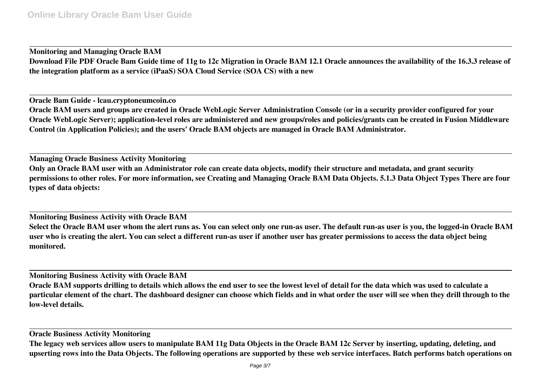**Monitoring and Managing Oracle BAM Download File PDF Oracle Bam Guide time of 11g to 12c Migration in Oracle BAM 12.1 Oracle announces the availability of the 16.3.3 release of the integration platform as a service (iPaaS) SOA Cloud Service (SOA CS) with a new**

**Oracle Bam Guide - lcau.cryptoneumcoin.co**

**Oracle BAM users and groups are created in Oracle WebLogic Server Administration Console (or in a security provider configured for your Oracle WebLogic Server); application-level roles are administered and new groups/roles and policies/grants can be created in Fusion Middleware Control (in Application Policies); and the users' Oracle BAM objects are managed in Oracle BAM Administrator.**

**Managing Oracle Business Activity Monitoring Only an Oracle BAM user with an Administrator role can create data objects, modify their structure and metadata, and grant security permissions to other roles. For more information, see Creating and Managing Oracle BAM Data Objects. 5.1.3 Data Object Types There are four types of data objects:**

**Monitoring Business Activity with Oracle BAM Select the Oracle BAM user whom the alert runs as. You can select only one run-as user. The default run-as user is you, the logged-in Oracle BAM user who is creating the alert. You can select a different run-as user if another user has greater permissions to access the data object being monitored.**

**Monitoring Business Activity with Oracle BAM**

**Oracle BAM supports drilling to details which allows the end user to see the lowest level of detail for the data which was used to calculate a particular element of the chart. The dashboard designer can choose which fields and in what order the user will see when they drill through to the low-level details.**

**Oracle Business Activity Monitoring**

**The legacy web services allow users to manipulate BAM 11g Data Objects in the Oracle BAM 12c Server by inserting, updating, deleting, and upserting rows into the Data Objects. The following operations are supported by these web service interfaces. Batch performs batch operations on**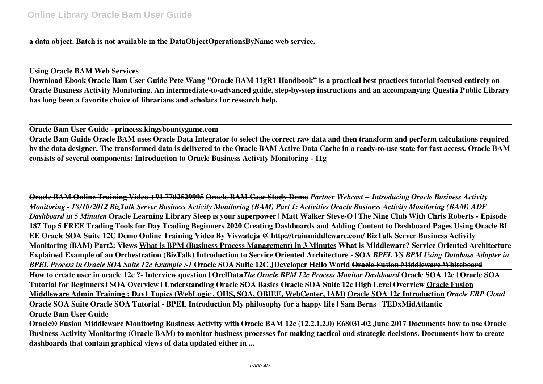**a data object. Batch is not available in the DataObjectOperationsByName web service.**

**Using Oracle BAM Web Services Download Ebook Oracle Bam User Guide Pete Wang "Oracle BAM 11gR1 Handbook" is a practical best practices tutorial focused entirely on Oracle Business Activity Monitoring. An intermediate-to-advanced guide, step-by-step instructions and an accompanying Questia Public Library has long been a favorite choice of librarians and scholars for research help.**

**Oracle Bam User Guide - princess.kingsbountygame.com**

**Oracle Bam Guide Oracle BAM uses Oracle Data Integrator to select the correct raw data and then transform and perform calculations required by the data designer. The transformed data is delivered to the Oracle BAM Active Data Cache in a ready-to-use state for fast access. Oracle BAM consists of several components: Introduction to Oracle Business Activity Monitoring - 11g**

**Oracle BAM Online Training Video +91 7702529995 Oracle BAM Case Study Demo** *Partner Webcast -- Introducing Oracle Business Activity Monitoring - 18/10/2012 BizTalk Server Business Activity Monitoring (BAM) Part 1: Activities Oracle Business Activity Monitoring (BAM) ADF Dashboard in 5 Minuten* **Oracle Learning Library Sleep is your superpower | Matt Walker Steve-O | The Nine Club With Chris Roberts - Episode 187 Top 5 FREE Trading Tools for Day Trading Beginners 2020 Creating Dashboards and Adding Content to Dashboard Pages Using Oracle BI EE Oracle SOA Suite 12C Demo Online Training Video By Viswateja @ http://trainmiddleware.com/ BizTalk Server Business Activity Monitoring (BAM) Part2: Views What is BPM (Business Process Management) in 3 Minutes What is Middleware? Service Oriented Architecture Explained Example of an Orchestration (BizTalk) Introduction to Service Oriented Architecture - SOA** *BPEL VS BPM Using Database Adapter in BPEL Process in Oracle SOA Suite 12c Example :-1* **Oracle SOA Suite 12C JDeveloper Hello World Oracle Fusion Middleware Whiteboard How to create user in oracle 12c ?- Interview question | OrclData***The Oracle BPM 12c Process Monitor Dashboard* **Oracle SOA 12c | Oracle SOA Tutorial for Beginners | SOA Overview | Understanding Oracle SOA Basics Oracle SOA Suite 12c High Level Overview Oracle Fusion Middleware Admin Training : Day1 Topics (WebLogic , OHS, SOA, OBIEE, WebCenter, IAM) Oracle SOA 12c Introduction** *Oracle ERP Cloud* **Oracle SOA Suite Oracle SOA Tutorial - BPEL Introduction My philosophy for a happy life | Sam Berns | TEDxMidAtlantic Oracle Bam User Guide**

**Oracle® Fusion Middleware Monitoring Business Activity with Oracle BAM 12c (12.2.1.2.0) E68031-02 June 2017 Documents how to use Oracle Business Activity Monitoring (Oracle BAM) to monitor business processes for making tactical and strategic decisions. Documents how to create dashboards that contain graphical views of data updated either in ...**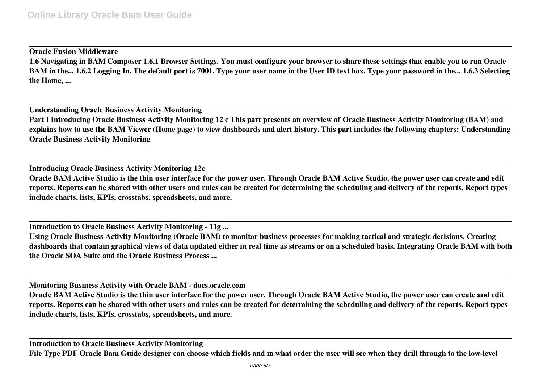## **Oracle Fusion Middleware**

**1.6 Navigating in BAM Composer 1.6.1 Browser Settings. You must configure your browser to share these settings that enable you to run Oracle BAM in the... 1.6.2 Logging In. The default port is 7001. Type your user name in the User ID text box. Type your password in the... 1.6.3 Selecting the Home, ...**

**Understanding Oracle Business Activity Monitoring Part I Introducing Oracle Business Activity Monitoring 12 c This part presents an overview of Oracle Business Activity Monitoring (BAM) and explains how to use the BAM Viewer (Home page) to view dashboards and alert history. This part includes the following chapters: Understanding Oracle Business Activity Monitoring**

**Introducing Oracle Business Activity Monitoring 12c Oracle BAM Active Studio is the thin user interface for the power user. Through Oracle BAM Active Studio, the power user can create and edit reports. Reports can be shared with other users and rules can be created for determining the scheduling and delivery of the reports. Report types include charts, lists, KPIs, crosstabs, spreadsheets, and more.**

**Introduction to Oracle Business Activity Monitoring - 11g ...**

**Using Oracle Business Activity Monitoring (Oracle BAM) to monitor business processes for making tactical and strategic decisions. Creating dashboards that contain graphical views of data updated either in real time as streams or on a scheduled basis. Integrating Oracle BAM with both the Oracle SOA Suite and the Oracle Business Process ...**

**Monitoring Business Activity with Oracle BAM - docs.oracle.com**

**Oracle BAM Active Studio is the thin user interface for the power user. Through Oracle BAM Active Studio, the power user can create and edit reports. Reports can be shared with other users and rules can be created for determining the scheduling and delivery of the reports. Report types include charts, lists, KPIs, crosstabs, spreadsheets, and more.**

**Introduction to Oracle Business Activity Monitoring File Type PDF Oracle Bam Guide designer can choose which fields and in what order the user will see when they drill through to the low-level**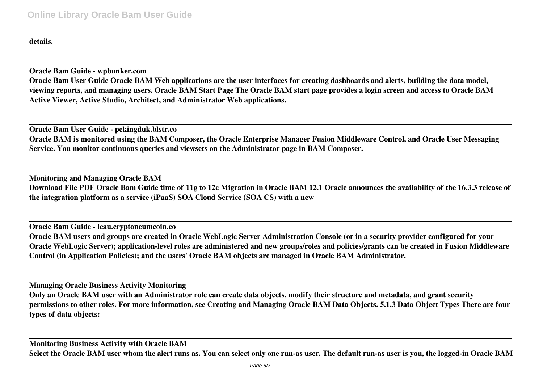**details.**

**Oracle Bam Guide - wpbunker.com Oracle Bam User Guide Oracle BAM Web applications are the user interfaces for creating dashboards and alerts, building the data model, viewing reports, and managing users. Oracle BAM Start Page The Oracle BAM start page provides a login screen and access to Oracle BAM Active Viewer, Active Studio, Architect, and Administrator Web applications.**

**Oracle Bam User Guide - pekingduk.blstr.co Oracle BAM is monitored using the BAM Composer, the Oracle Enterprise Manager Fusion Middleware Control, and Oracle User Messaging Service. You monitor continuous queries and viewsets on the Administrator page in BAM Composer.**

**Monitoring and Managing Oracle BAM Download File PDF Oracle Bam Guide time of 11g to 12c Migration in Oracle BAM 12.1 Oracle announces the availability of the 16.3.3 release of the integration platform as a service (iPaaS) SOA Cloud Service (SOA CS) with a new**

**Oracle Bam Guide - lcau.cryptoneumcoin.co**

**Oracle BAM users and groups are created in Oracle WebLogic Server Administration Console (or in a security provider configured for your Oracle WebLogic Server); application-level roles are administered and new groups/roles and policies/grants can be created in Fusion Middleware Control (in Application Policies); and the users' Oracle BAM objects are managed in Oracle BAM Administrator.**

**Managing Oracle Business Activity Monitoring**

**Only an Oracle BAM user with an Administrator role can create data objects, modify their structure and metadata, and grant security permissions to other roles. For more information, see Creating and Managing Oracle BAM Data Objects. 5.1.3 Data Object Types There are four types of data objects:**

**Monitoring Business Activity with Oracle BAM Select the Oracle BAM user whom the alert runs as. You can select only one run-as user. The default run-as user is you, the logged-in Oracle BAM**